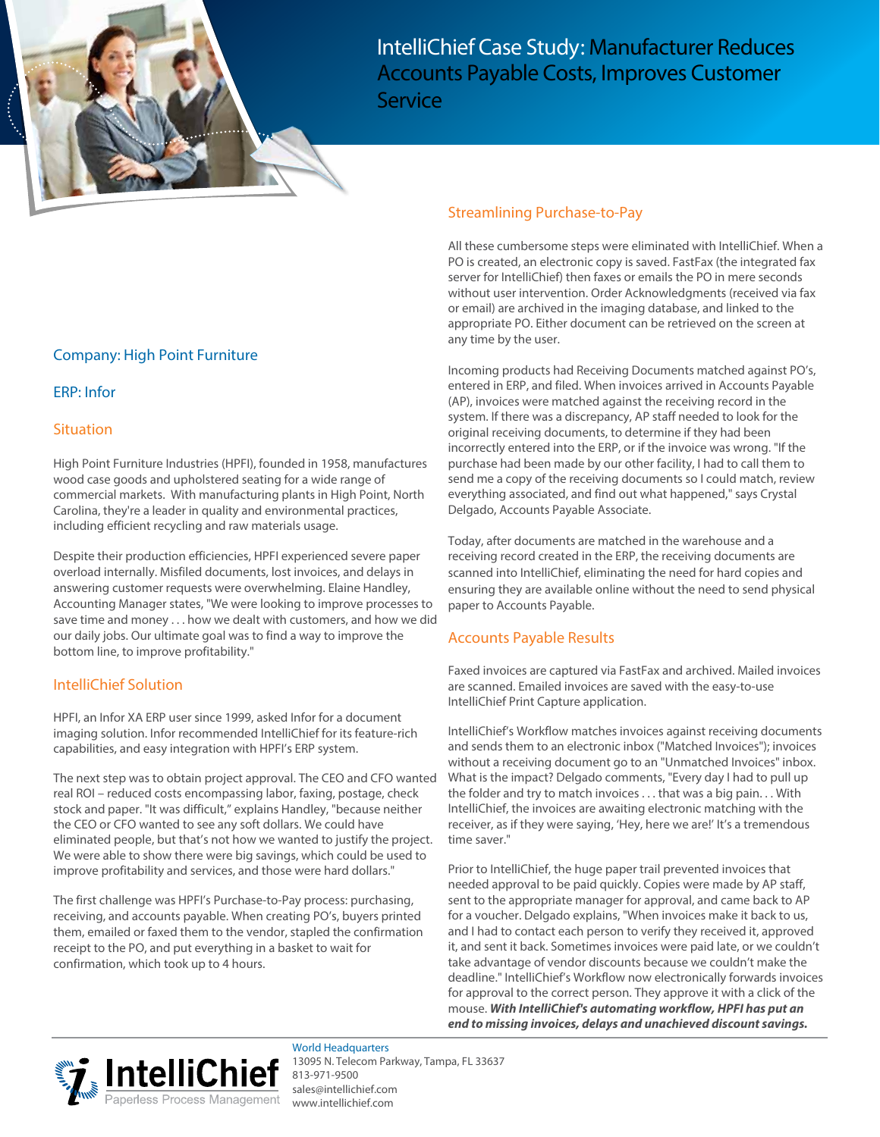

IntelliChief Case Study: Manufacturer Reduces Accounts Payable Costs, Improves Customer

**Service** 

# Company: High Point Furniture

#### ERP: Infor

#### **Situation**

High Point Furniture Industries (HPFI), founded in 1958, manufactures wood case goods and upholstered seating for a wide range of commercial markets. With manufacturing plants in High Point, North Carolina, they're a leader in quality and environmental practices, including efficient recycling and raw materials usage.

Despite their production efficiencies, HPFI experienced severe paper overload internally. Misfiled documents, lost invoices, and delays in answering customer requests were overwhelming. Elaine Handley, Accounting Manager states, "We were looking to improve processes to save time and money . . . how we dealt with customers, and how we did our daily jobs. Our ultimate goal was to find a way to improve the bottom line, to improve profitability."

### IntelliChief Solution

HPFI, an Infor XA ERP user since 1999, asked Infor for a document imaging solution. Infor recommended IntelliChief for its feature-rich capabilities, and easy integration with HPFI's ERP system.

The next step was to obtain project approval. The CEO and CFO wanted real ROI – reduced costs encompassing labor, faxing, postage, check stock and paper. "It was difficult," explains Handley, "because neither the CEO or CFO wanted to see any soft dollars. We could have eliminated people, but that's not how we wanted to justify the project. We were able to show there were big savings, which could be used to improve profitability and services, and those were hard dollars."

The first challenge was HPFI's Purchase-to-Pay process: purchasing, receiving, and accounts payable. When creating PO's, buyers printed them, emailed or faxed them to the vendor, stapled the confirmation receipt to the PO, and put everything in a basket to wait for confirmation, which took up to 4 hours.

### Streamlining Purchase-to-Pay

All these cumbersome steps were eliminated with IntelliChief. When a PO is created, an electronic copy is saved. FastFax (the integrated fax server for IntelliChief) then faxes or emails the PO in mere seconds without user intervention. Order Acknowledgments (received via fax or email) are archived in the imaging database, and linked to the appropriate PO. Either document can be retrieved on the screen at any time by the user.

Incoming products had Receiving Documents matched against PO's, entered in ERP, and filed. When invoices arrived in Accounts Payable (AP), invoices were matched against the receiving record in the system. If there was a discrepancy, AP staff needed to look for the original receiving documents, to determine if they had been incorrectly entered into the ERP, or if the invoice was wrong. "If the purchase had been made by our other facility, I had to call them to send me a copy of the receiving documents so I could match, review everything associated, and find out what happened," says Crystal Delgado, Accounts Payable Associate.

Today, after documents are matched in the warehouse and a receiving record created in the ERP, the receiving documents are scanned into IntelliChief, eliminating the need for hard copies and ensuring they are available online without the need to send physical paper to Accounts Payable.

### Accounts Payable Results

Faxed invoices are captured via FastFax and archived. Mailed invoices are scanned. Emailed invoices are saved with the easy-to-use IntelliChief Print Capture application.

IntelliChief's Workflow matches invoices against receiving documents and sends them to an electronic inbox ("Matched Invoices"); invoices without a receiving document go to an "Unmatched Invoices" inbox. What is the impact? Delgado comments, "Every day I had to pull up the folder and try to match invoices . . . that was a big pain. . . With IntelliChief, the invoices are awaiting electronic matching with the receiver, as if they were saying, 'Hey, here we are!' It's a tremendous time saver."

Prior to IntelliChief, the huge paper trail prevented invoices that needed approval to be paid quickly. Copies were made by AP staff, sent to the appropriate manager for approval, and came back to AP for a voucher. Delgado explains, "When invoices make it back to us, and I had to contact each person to verify they received it, approved it, and sent it back. Sometimes invoices were paid late, or we couldn't take advantage of vendor discounts because we couldn't make the deadline." IntelliChief's Workflow now electronically forwards invoices for approval to the correct person. They approve it with a click of the mouse. **With IntelliChief's automating workflow, HPFI has put an end to missing invoices, delays and unachieved discount savings.**



World Headquarters 13095 N. Telecom Parkway, Tampa, FL 33637 813-971-9500 [sales@intellichief.com](mailto:sales@intellichief.com) [www.intelli](http://www.intellichief.com)chief.com